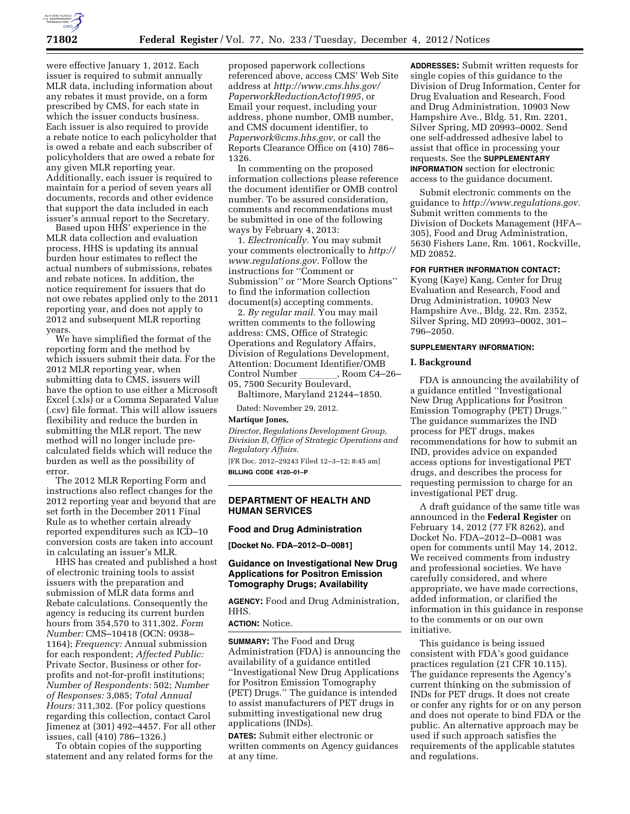

were effective January 1, 2012. Each issuer is required to submit annually MLR data, including information about any rebates it must provide, on a form prescribed by CMS, for each state in which the issuer conducts business. Each issuer is also required to provide a rebate notice to each policyholder that is owed a rebate and each subscriber of policyholders that are owed a rebate for any given MLR reporting year. Additionally, each issuer is required to maintain for a period of seven years all documents, records and other evidence that support the data included in each issuer's annual report to the Secretary.

Based upon HHS' experience in the MLR data collection and evaluation process, HHS is updating its annual burden hour estimates to reflect the actual numbers of submissions, rebates and rebate notices. In addition, the notice requirement for issuers that do not owe rebates applied only to the 2011 reporting year, and does not apply to 2012 and subsequent MLR reporting years.

We have simplified the format of the reporting form and the method by which issuers submit their data. For the 2012 MLR reporting year, when submitting data to CMS, issuers will have the option to use either a Microsoft Excel (.xls) or a Comma Separated Value (.csv) file format. This will allow issuers flexibility and reduce the burden in submitting the MLR report. The new method will no longer include precalculated fields which will reduce the burden as well as the possibility of error.

The 2012 MLR Reporting Form and instructions also reflect changes for the 2012 reporting year and beyond that are set forth in the December 2011 Final Rule as to whether certain already reported expenditures such as ICD–10 conversion costs are taken into account in calculating an issuer's MLR.

HHS has created and published a host of electronic training tools to assist issuers with the preparation and submission of MLR data forms and Rebate calculations. Consequently the agency is reducing its current burden hours from 354,570 to 311,302. *Form Number:* CMS–10418 (OCN: 0938– 1164); *Frequency:* Annual submission for each respondent; *Affected Public:*  Private Sector, Business or other forprofits and not-for-profit institutions; *Number of Respondents:* 502; *Number of Responses:* 3,085; *Total Annual Hours:* 311,302. (For policy questions regarding this collection, contact Carol Jimenez at (301) 492–4457. For all other issues, call (410) 786–1326.)

To obtain copies of the supporting statement and any related forms for the proposed paperwork collections referenced above, access CMS' Web Site address at *[http://www.cms.hhs.gov/](http://www.cms.hhs.gov/PaperworkReductionActof1995)  [PaperworkReductionActof1995](http://www.cms.hhs.gov/PaperworkReductionActof1995)*, or Email your request, including your address, phone number, OMB number, and CMS document identifier, to *[Paperwork@cms.hhs.gov,](mailto:Paperwork@cms.hhs.gov)* or call the Reports Clearance Office on (410) 786– 1326.

In commenting on the proposed information collections please reference the document identifier or OMB control number. To be assured consideration, comments and recommendations must be submitted in one of the following ways by February 4, 2013:

1. *Electronically.* You may submit your comments electronically to *[http://](http://www.regulations.gov) [www.regulations.gov.](http://www.regulations.gov)* Follow the instructions for ''Comment or Submission'' or ''More Search Options'' to find the information collection document(s) accepting comments.

2. *By regular mail.* You may mail written comments to the following address: CMS, Office of Strategic Operations and Regulatory Affairs, Division of Regulations Development, Attention: Document Identifier/OMB Control Number \_\_\_\_\_\_\_, Room C4–26–<br>05, 7500 Security Boulevard,

Baltimore, Maryland 21244–1850.

Dated: November 29, 2012.

**Martique Jones,** 

*Director, Regulations Development Group, Division B, Office of Strategic Operations and Regulatory Affairs.* 

[FR Doc. 2012–29243 Filed 12–3–12; 8:45 am] **BILLING CODE 4120–01–P** 

### **DEPARTMENT OF HEALTH AND HUMAN SERVICES**

### **Food and Drug Administration**

**[Docket No. FDA–2012–D–0081]** 

### **Guidance on Investigational New Drug Applications for Positron Emission Tomography Drugs; Availability**

**AGENCY:** Food and Drug Administration, HHS.

#### **ACTION:** Notice.

**SUMMARY:** The Food and Drug Administration (FDA) is announcing the availability of a guidance entitled ''Investigational New Drug Applications for Positron Emission Tomography (PET) Drugs.'' The guidance is intended to assist manufacturers of PET drugs in submitting investigational new drug applications (INDs).

**DATES:** Submit either electronic or written comments on Agency guidances at any time.

**ADDRESSES:** Submit written requests for single copies of this guidance to the Division of Drug Information, Center for Drug Evaluation and Research, Food and Drug Administration, 10903 New Hampshire Ave., Bldg. 51, Rm. 2201, Silver Spring, MD 20993–0002. Send one self-addressed adhesive label to assist that office in processing your requests. See the **SUPPLEMENTARY INFORMATION** section for electronic access to the guidance document.

Submit electronic comments on the guidance to *[http://www.regulations.gov.](http://www.regulations.gov)*  Submit written comments to the Division of Dockets Management (HFA– 305), Food and Drug Administration, 5630 Fishers Lane, Rm. 1061, Rockville, MD 20852.

### **FOR FURTHER INFORMATION CONTACT:**

Kyong (Kaye) Kang, Center for Drug Evaluation and Research, Food and Drug Administration, 10903 New Hampshire Ave., Bldg. 22, Rm. 2352, Silver Spring, MD 20993–0002, 301– 796–2050.

### **SUPPLEMENTARY INFORMATION:**

#### **I. Background**

FDA is announcing the availability of a guidance entitled ''Investigational New Drug Applications for Positron Emission Tomography (PET) Drugs.'' The guidance summarizes the IND process for PET drugs, makes recommendations for how to submit an IND, provides advice on expanded access options for investigational PET drugs, and describes the process for requesting permission to charge for an investigational PET drug.

A draft guidance of the same title was announced in the **Federal Register** on February 14, 2012 (77 FR 8262), and Docket No. FDA–2012–D–0081 was open for comments until May 14, 2012. We received comments from industry and professional societies. We have carefully considered, and where appropriate, we have made corrections, added information, or clarified the information in this guidance in response to the comments or on our own initiative.

This guidance is being issued consistent with FDA's good guidance practices regulation (21 CFR 10.115). The guidance represents the Agency's current thinking on the submission of INDs for PET drugs. It does not create or confer any rights for or on any person and does not operate to bind FDA or the public. An alternative approach may be used if such approach satisfies the requirements of the applicable statutes and regulations.